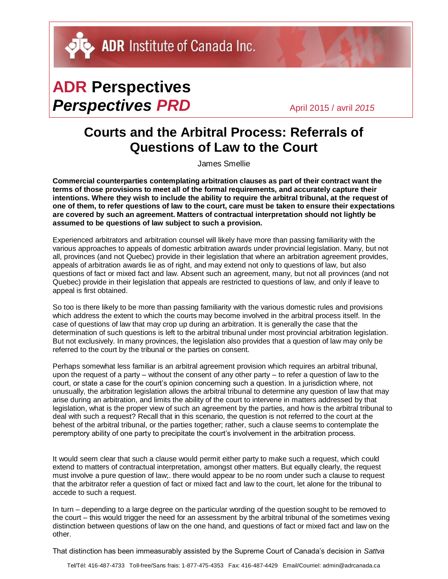## **ADR Perspectives Perspectives PRD** April 2015 / avril 2015

## **Courts and the Arbitral Process: Referrals of Questions of Law to the Court**

James Smellie

**Commercial counterparties contemplating arbitration clauses as part of their contract want the terms of those provisions to meet all of the formal requirements, and accurately capture their intentions. Where they wish to include the ability to require the arbitral tribunal, at the request of one of them, to refer questions of law to the court, care must be taken to ensure their expectations are covered by such an agreement. Matters of contractual interpretation should not lightly be assumed to be questions of law subject to such a provision.**

Experienced arbitrators and arbitration counsel will likely have more than passing familiarity with the various approaches to appeals of domestic arbitration awards under provincial legislation. Many, but not all, provinces (and not Quebec) provide in their legislation that where an arbitration agreement provides, appeals of arbitration awards lie as of right, and may extend not only to questions of law, but also questions of fact or mixed fact and law. Absent such an agreement, many, but not all provinces (and not Quebec) provide in their legislation that appeals are restricted to questions of law, and only if leave to appeal is first obtained.

So too is there likely to be more than passing familiarity with the various domestic rules and provisions which address the extent to which the courts may become involved in the arbitral process itself. In the case of questions of law that may crop up during an arbitration. It is generally the case that the determination of such questions is left to the arbitral tribunal under most provincial arbitration legislation. But not exclusively. In many provinces, the legislation also provides that a question of law may only be referred to the court by the tribunal or the parties on consent.

Perhaps somewhat less familiar is an arbitral agreement provision which requires an arbitral tribunal, upon the request of a party – without the consent of any other party – to refer a question of law to the court, or state a case for the court's opinion concerning such a question. In a jurisdiction where, not unusually, the arbitration legislation allows the arbitral tribunal to determine any question of law that may arise during an arbitration, and limits the ability of the court to intervene in matters addressed by that legislation, what is the proper view of such an agreement by the parties, and how is the arbitral tribunal to deal with such a request? Recall that in this scenario, the question is not referred to the court at the behest of the arbitral tribunal, or the parties together; rather, such a clause seems to contemplate the peremptory ability of one party to precipitate the court's involvement in the arbitration process.

It would seem clear that such a clause would permit either party to make such a request, which could extend to matters of contractual interpretation, amongst other matters. But equally clearly, the request must involve a pure question of law;. there would appear to be no room under such a clause to request that the arbitrator refer a question of fact or mixed fact and law to the court, let alone for the tribunal to accede to such a request.

In turn – depending to a large degree on the particular wording of the question sought to be removed to the court – this would trigger the need for an assessment by the arbitral tribunal of the sometimes vexing distinction between questions of law on the one hand, and questions of fact or mixed fact and law on the other.

That distinction has been immeasurably assisted by the Supreme Court of Canada's decision in *Sattva*